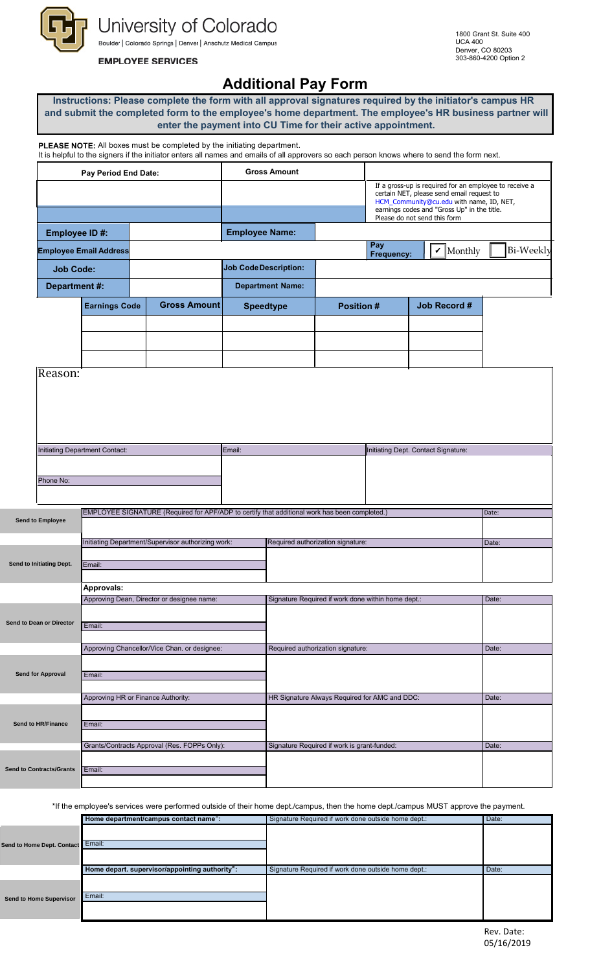University of Colorado Boulder | Colorado Springs | Denver | Anschutz Medical Campus

## **EMPLOYEE SERVICES**

## **Additional Pay Form**

| Instructions: Please complete the form with all approval signatures required by the initiator's campus HR |
|-----------------------------------------------------------------------------------------------------------|
| and submit the completed form to the employee's home department. The employee's HR business partner will  |
| enter the payment into CU Time for their active appointment.                                              |

**PLEASE NOTE:** All boxes must be completed by the initiating department.

|                                | Pay Period End Date:          |                     | <b>Gross Amount</b>          |                   |                                     |                                                                                                                                                                                                                                |           |
|--------------------------------|-------------------------------|---------------------|------------------------------|-------------------|-------------------------------------|--------------------------------------------------------------------------------------------------------------------------------------------------------------------------------------------------------------------------------|-----------|
|                                |                               |                     |                              |                   |                                     | If a gross-up is required for an employee to receive a<br>certain NET, please send email request to<br>HCM_Community@cu.edu with name, ID, NET,<br>earnings codes and "Gross Up" in the title.<br>Please do not send this form |           |
| Employee ID#:                  |                               |                     | <b>Employee Name:</b>        |                   |                                     |                                                                                                                                                                                                                                |           |
|                                | <b>Employee Email Address</b> |                     |                              |                   | Pay<br>Frequency:                   | $\mathbf{\nu}$ Monthly                                                                                                                                                                                                         | Bi-Weekly |
| <b>Job Code:</b>               |                               |                     | <b>Job Code Description:</b> |                   |                                     |                                                                                                                                                                                                                                |           |
| Department #:                  |                               |                     | <b>Department Name:</b>      |                   |                                     |                                                                                                                                                                                                                                |           |
|                                | <b>Earnings Code</b>          | <b>Gross Amount</b> | <b>Speedtype</b>             | <b>Position #</b> |                                     | <b>Job Record #</b>                                                                                                                                                                                                            |           |
|                                |                               |                     |                              |                   |                                     |                                                                                                                                                                                                                                |           |
|                                |                               |                     |                              |                   |                                     |                                                                                                                                                                                                                                |           |
|                                |                               |                     |                              |                   |                                     |                                                                                                                                                                                                                                |           |
| Reason:                        |                               |                     |                              |                   |                                     |                                                                                                                                                                                                                                |           |
|                                |                               |                     |                              |                   |                                     |                                                                                                                                                                                                                                |           |
|                                |                               |                     |                              |                   |                                     |                                                                                                                                                                                                                                |           |
|                                |                               |                     |                              |                   |                                     |                                                                                                                                                                                                                                |           |
| Initiating Department Contact: |                               | Email:              |                              |                   | Initiating Dept. Contact Signature: |                                                                                                                                                                                                                                |           |
|                                |                               |                     |                              |                   |                                     |                                                                                                                                                                                                                                |           |
| Phone No:                      |                               |                     |                              |                   |                                     |                                                                                                                                                                                                                                |           |
|                                |                               |                     |                              |                   |                                     |                                                                                                                                                                                                                                |           |
|                                |                               |                     |                              |                   |                                     |                                                                                                                                                                                                                                |           |

| Send to Employee         |                                                    |                                                    |        |
|--------------------------|----------------------------------------------------|----------------------------------------------------|--------|
|                          | Initiating Department/Supervisor authorizing work: | Required authorization signature:                  | IDate: |
|                          |                                                    |                                                    |        |
| Send to Initiating Dept. | Email:                                             |                                                    |        |
|                          |                                                    |                                                    |        |
|                          | Approvals:                                         |                                                    |        |
|                          | Approving Dean, Director or designee name:         | Signature Required if work done within home dept.: | Date:  |

|                                 | Approving Dean, Director or designee name.   | Signature Required in work done within home dept | Date. |
|---------------------------------|----------------------------------------------|--------------------------------------------------|-------|
| Send to Dean or Director        | Email:                                       |                                                  |       |
|                                 | Approving Chancellor/Vice Chan. or designee: | Required authorization signature:                | Date: |
| <b>Send for Approval</b>        | Email:                                       |                                                  |       |
|                                 | Approving HR or Finance Authority:           | HR Signature Always Required for AMC and DDC:    | Date: |
| <b>Send to HR/Finance</b>       | Email:                                       |                                                  |       |
|                                 | Grants/Contracts Approval (Res. FOPPs Only): | Signature Required if work is grant-funded:      | Date: |
| <b>Send to Contracts/Grants</b> | Email:                                       |                                                  |       |

\*If the employee's services were performed outside of their home dept./campus, then the home dept./campus MUST approve the payment.

|                                | Home department/campus contact name <sup>*</sup> : | Signature Required if work done outside home dept.: | Date: |
|--------------------------------|----------------------------------------------------|-----------------------------------------------------|-------|
|                                |                                                    |                                                     |       |
| Send to Home Dept. Contact     | Email:                                             |                                                     |       |
|                                |                                                    |                                                     |       |
|                                | Home depart. supervisor/appointing authority*:     | Signature Required if work done outside home dept.: | Date: |
|                                |                                                    |                                                     |       |
|                                |                                                    |                                                     |       |
| <b>Send to Home Supervisor</b> | Email:                                             |                                                     |       |
|                                |                                                    |                                                     |       |
|                                |                                                    |                                                     |       |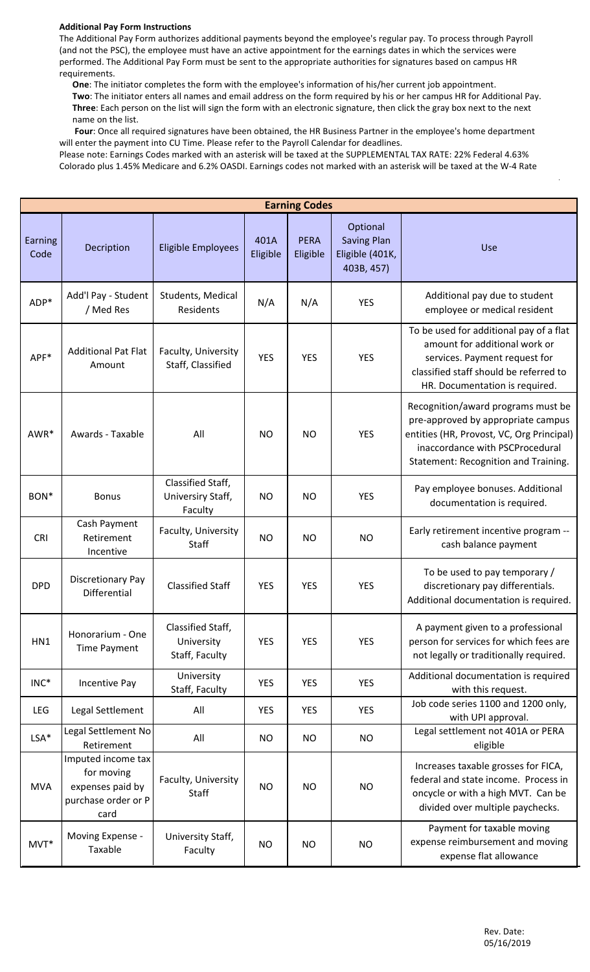## **Additional Pay Form Instructions**

The Additional Pay Form authorizes additional payments beyond the employee's regular pay. To process through Payroll (and not the PSC), the employee must have an active appointment for the earnings dates in which the services were performed. The Additional Pay Form must be sent to the appropriate authorities for signatures based on campus HR requirements.

 **One**: The initiator completes the form with the employee's information of his/her current job appointment. **Two**: The initiator enters all names and email address on the form required by his or her campus HR for Additional Pay. **Three**: Each person on the list will sign the form with an electronic signature, then click the gray box next to the next name on the list.

 **Four**: Once all required signatures have been obtained, the HR Business Partner in the employee's home department will enter the payment into CU Time. Please refer to the Payroll Calendar for deadlines.

Please note: Earnings Codes marked with an asterisk will be taxed at the SUPPLEMENTAL TAX RATE: 22% Federal 4.63% Colorado plus 1.45% Medicare and 6.2% OASDI. Earnings codes not marked with an asterisk will be taxed at the W-4 Rate

| <b>Earning Codes</b> |                                                                                     |                                                   |                  |                         |                                                                 |                                                                                                                                                                                                  |  |
|----------------------|-------------------------------------------------------------------------------------|---------------------------------------------------|------------------|-------------------------|-----------------------------------------------------------------|--------------------------------------------------------------------------------------------------------------------------------------------------------------------------------------------------|--|
| Earning<br>Code      | Decription                                                                          | <b>Eligible Employees</b>                         | 401A<br>Eligible | <b>PERA</b><br>Eligible | Optional<br><b>Saving Plan</b><br>Eligible (401K,<br>403B, 457) | Use                                                                                                                                                                                              |  |
| $ADP*$               | Add'l Pay - Student<br>/ Med Res                                                    | Students, Medical<br>Residents                    | N/A              | N/A                     | <b>YES</b>                                                      | Additional pay due to student<br>employee or medical resident                                                                                                                                    |  |
| $APF*$               | <b>Additional Pat Flat</b><br>Amount                                                | Faculty, University<br>Staff, Classified          | <b>YES</b>       | <b>YES</b>              | <b>YES</b>                                                      | To be used for additional pay of a flat<br>amount for additional work or<br>services. Payment request for<br>classified staff should be referred to<br>HR. Documentation is required.            |  |
| AWR*                 | Awards - Taxable                                                                    | All                                               | <b>NO</b>        | <b>NO</b>               | <b>YES</b>                                                      | Recognition/award programs must be<br>pre-approved by appropriate campus<br>entities (HR, Provost, VC, Org Principal)<br>inaccordance with PSCProcedural<br>Statement: Recognition and Training. |  |
| BON*                 | <b>Bonus</b>                                                                        | Classified Staff,<br>Universiry Staff,<br>Faculty | <b>NO</b>        | <b>NO</b>               | <b>YES</b>                                                      | Pay employee bonuses. Additional<br>documentation is required.                                                                                                                                   |  |
| CRI                  | Cash Payment<br>Retirement<br>Incentive                                             | Faculty, University<br>Staff                      | <b>NO</b>        | <b>NO</b>               | <b>NO</b>                                                       | Early retirement incentive program --<br>cash balance payment                                                                                                                                    |  |
| <b>DPD</b>           | Discretionary Pay<br><b>Differential</b>                                            | <b>Classified Staff</b>                           | <b>YES</b>       | <b>YES</b>              | <b>YES</b>                                                      | To be used to pay temporary /<br>discretionary pay differentials.<br>Additional documentation is required.                                                                                       |  |
| HN1                  | Honorarium - One<br>Time Payment                                                    | Classified Staff,<br>University<br>Staff, Faculty | <b>YES</b>       | <b>YES</b>              | <b>YES</b>                                                      | A payment given to a professional<br>person for services for which fees are<br>not legally or traditionally required.                                                                            |  |
| $INC^*$              | Incentive Pay                                                                       | University<br>Staff, Faculty                      | <b>YES</b>       | <b>YES</b>              | <b>YES</b>                                                      | Additional documentation is required<br>with this request.                                                                                                                                       |  |
| <b>LEG</b>           | Legal Settlement                                                                    | All                                               | <b>YES</b>       | <b>YES</b>              | <b>YES</b>                                                      | Job code series 1100 and 1200 only,<br>with UPI approval.                                                                                                                                        |  |
| $LSA*$               | Legal Settlement No<br>Retirement                                                   | All                                               | <b>NO</b>        | <b>NO</b>               | <b>NO</b>                                                       | Legal settlement not 401A or PERA<br>eligible                                                                                                                                                    |  |
| <b>MVA</b>           | Imputed income tax<br>for moving<br>expenses paid by<br>purchase order or P<br>card | Faculty, University<br>Staff                      | <b>NO</b>        | <b>NO</b>               | <b>NO</b>                                                       | Increases taxable grosses for FICA,<br>federal and state income. Process in<br>oncycle or with a high MVT. Can be<br>divided over multiple paychecks.                                            |  |
| $MVT^*$              | Moving Expense -<br>Taxable                                                         | University Staff,<br>Faculty                      | <b>NO</b>        | <b>NO</b>               | <b>NO</b>                                                       | Payment for taxable moving<br>expense reimbursement and moving<br>expense flat allowance                                                                                                         |  |